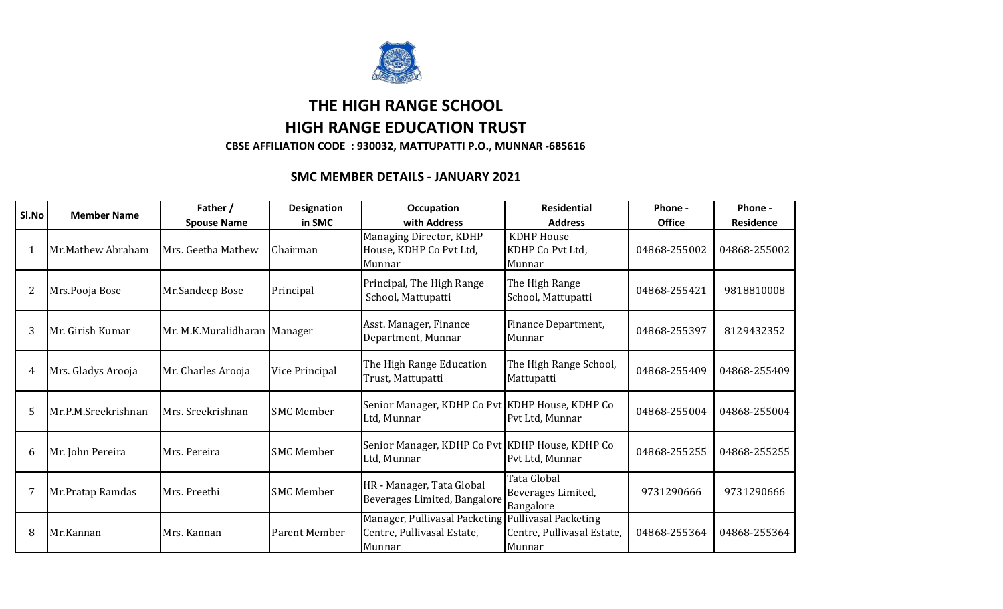

## **THE HIGH RANGE SCHOOL HIGH RANGE EDUCATION TRUST**

**CBSE AFFILIATION CODE : 930032, MATTUPATTI P.O., MUNNAR -685616**

## **SMC MEMBER DETAILS - JANUARY 2021**

| SI.No          | <b>Member Name</b>  | Father /<br><b>Spouse Name</b> | <b>Designation</b><br>in SMC | Occupation<br>with Address                                                                 | <b>Residential</b><br><b>Address</b>            | Phone -<br><b>Office</b> | Phone -<br>Residence |
|----------------|---------------------|--------------------------------|------------------------------|--------------------------------------------------------------------------------------------|-------------------------------------------------|--------------------------|----------------------|
| 1              | Mr.Mathew Abraham   | Mrs. Geetha Mathew             | Chairman                     | Managing Director, KDHP<br>House, KDHP Co Pvt Ltd,<br>Munnar                               | <b>KDHP</b> House<br>KDHP Co Pvt Ltd,<br>Munnar | 04868-255002             | 04868-255002         |
| $\overline{2}$ | Mrs.Pooja Bose      | Mr.Sandeep Bose                | Principal                    | Principal, The High Range<br>School, Mattupatti                                            | The High Range<br>School, Mattupatti            | 04868-255421             | 9818810008           |
| 3              | Mr. Girish Kumar    | Mr. M.K.Muralidharan   Manager |                              | Asst. Manager, Finance<br>Department, Munnar                                               | Finance Department,<br>Munnar                   | 04868-255397             | 8129432352           |
| 4              | Mrs. Gladys Arooja  | Mr. Charles Arooja             | Vice Principal               | The High Range Education<br>Trust, Mattupatti                                              | The High Range School,<br>Mattupatti            | 04868-255409             | 04868-255409         |
| 5              | Mr.P.M.Sreekrishnan | Mrs. Sreekrishnan              | <b>SMC Member</b>            | Senior Manager, KDHP Co Pvt KDHP House, KDHP Co<br>Ltd, Munnar                             | Pvt Ltd, Munnar                                 | 04868-255004             | 04868-255004         |
| 6              | Mr. John Pereira    | Mrs. Pereira                   | <b>SMC Member</b>            | Senior Manager, KDHP Co Pvt KDHP House, KDHP Co<br>Ltd, Munnar                             | Pvt Ltd, Munnar                                 | 04868-255255             | 04868-255255         |
| 7              | Mr. Pratap Ramdas   | Mrs. Preethi                   | <b>SMC Member</b>            | HR - Manager, Tata Global<br>Beverages Limited, Bangalore                                  | Tata Global<br>Beverages Limited,<br>Bangalore  | 9731290666               | 9731290666           |
| 8              | Mr.Kannan           | Mrs. Kannan                    | Parent Member                | Manager, Pullivasal Packeting Pullivasal Packeting<br>Centre, Pullivasal Estate,<br>Munnar | Centre, Pullivasal Estate,<br>Munnar            | 04868-255364             | 04868-255364         |